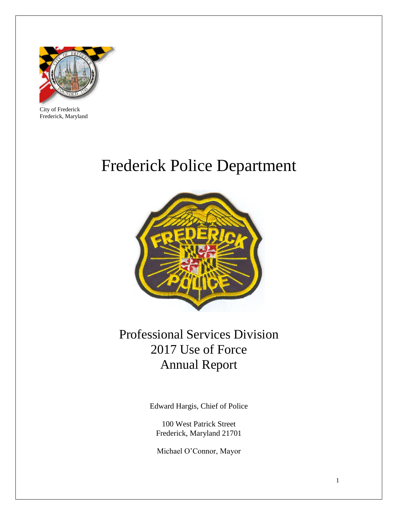

City of Frederick Frederick, Maryland

## Frederick Police Department



### Professional Services Division 2017 Use of Force Annual Report

Edward Hargis, Chief of Police

100 West Patrick Street Frederick, Maryland 21701

Michael O'Connor, Mayor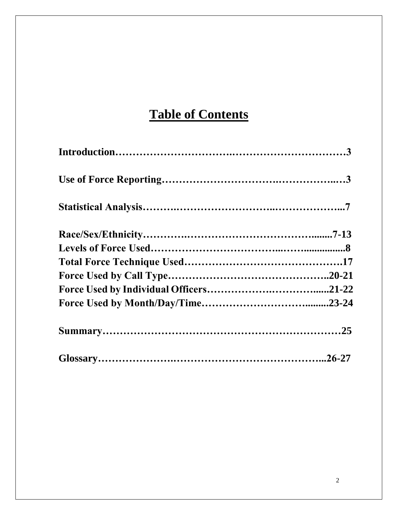## **Table of Contents**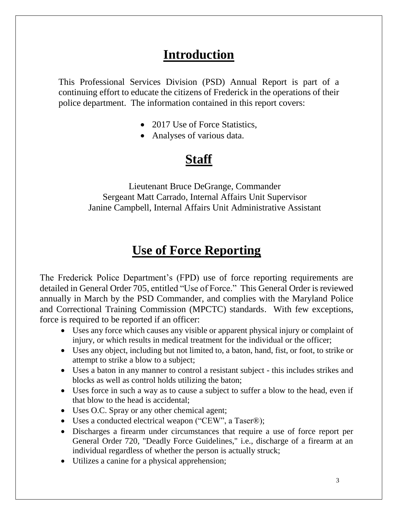### **Introduction**

This Professional Services Division (PSD) Annual Report is part of a continuing effort to educate the citizens of Frederick in the operations of their police department. The information contained in this report covers:

- 2017 Use of Force Statistics,
- Analyses of various data.

### **Staff**

Lieutenant Bruce DeGrange, Commander Sergeant Matt Carrado, Internal Affairs Unit Supervisor Janine Campbell, Internal Affairs Unit Administrative Assistant

### **Use of Force Reporting**

The Frederick Police Department's (FPD) use of force reporting requirements are detailed in General Order 705, entitled "Use of Force." This General Order is reviewed annually in March by the PSD Commander, and complies with the Maryland Police and Correctional Training Commission (MPCTC) standards. With few exceptions, force is required to be reported if an officer:

- Uses any force which causes any visible or apparent physical injury or complaint of injury, or which results in medical treatment for the individual or the officer;
- Uses any object, including but not limited to, a baton, hand, fist, or foot, to strike or attempt to strike a blow to a subject;
- Uses a baton in any manner to control a resistant subject this includes strikes and blocks as well as control holds utilizing the baton;
- Uses force in such a way as to cause a subject to suffer a blow to the head, even if that blow to the head is accidental;
- Uses O.C. Spray or any other chemical agent;
- Uses a conducted electrical weapon ("CEW", a Taser®);
- Discharges a firearm under circumstances that require a use of force report per General Order 720, "Deadly Force Guidelines," i.e., discharge of a firearm at an individual regardless of whether the person is actually struck;
- Utilizes a canine for a physical apprehension;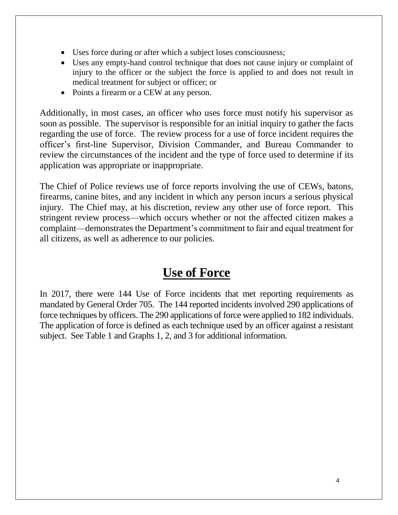- Uses force during or after which a subject loses consciousness;
- Uses any empty-hand control technique that does not cause injury or complaint of injury to the officer or the subject the force is applied to and does not result in medical treatment for subject or officer; or
- Points a firearm or a CEW at any person.

Additionally, in most cases, an officer who uses force must notify his supervisor as soon as possible. The supervisor is responsible for an initial inquiry to gather the facts regarding the use of force. The review process for a use of force incident requires the officer's first-line Supervisor, Division Commander, and Bureau Commander to review the circumstances of the incident and the type of force used to determine if its application was appropriate or inappropriate.

The Chief of Police reviews use of force reports involving the use of CEWs, batons, firearms, canine bites, and any incident in which any person incurs a serious physical injury. The Chief may, at his discretion, review any other use of force report. This stringent review process—which occurs whether or not the affected citizen makes a complaint—demonstrates the Department's commitment to fair and equal treatment for all citizens, as well as adherence to our policies.

### **Use of Force**

In 2017, there were 144 Use of Force incidents that met reporting requirements as mandated by General Order 705. The 144 reported incidents involved 290 applications of force techniques by officers. The 290 applications of force were applied to 182 individuals. The application of force is defined as each technique used by an officer against a resistant subject. See Table 1 and Graphs 1, 2, and 3 for additional information.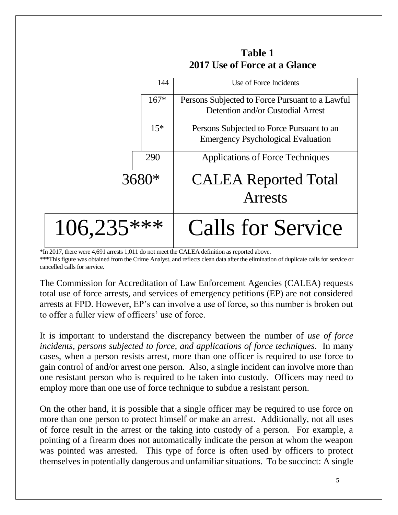

**Table 1 2017 Use of Force at a Glance**

\*In 2017, there were 4,691 arrests 1,011 do not meet the CALEA definition as reported above. \*\*\*This figure was obtained from the Crime Analyst, and reflects clean data after the elimination of duplicate calls for service or cancelled calls for service.

The Commission for Accreditation of Law Enforcement Agencies (CALEA) requests total use of force arrests, and services of emergency petitions (EP) are not considered arrests at FPD. However, EP's can involve a use of force, so this number is broken out to offer a fuller view of officers' use of force.

It is important to understand the discrepancy between the number of *use of force incidents, persons subjected to force, and applications of force techniques*. In many cases, when a person resists arrest, more than one officer is required to use force to gain control of and/or arrest one person. Also, a single incident can involve more than one resistant person who is required to be taken into custody. Officers may need to employ more than one use of force technique to subdue a resistant person.

On the other hand, it is possible that a single officer may be required to use force on more than one person to protect himself or make an arrest. Additionally, not all uses of force result in the arrest or the taking into custody of a person. For example, a pointing of a firearm does not automatically indicate the person at whom the weapon was pointed was arrested. This type of force is often used by officers to protect themselves in potentially dangerous and unfamiliar situations. To be succinct: A single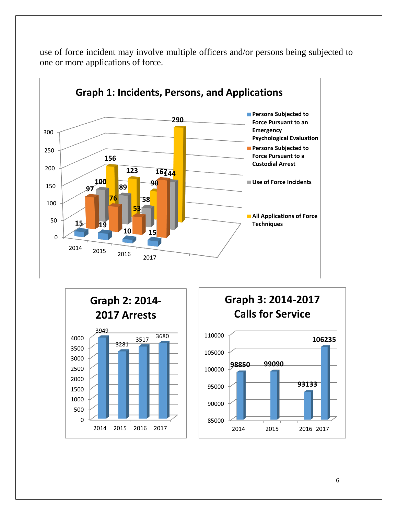

use of force incident may involve multiple officers and/or persons being subjected to one or more applications of force.



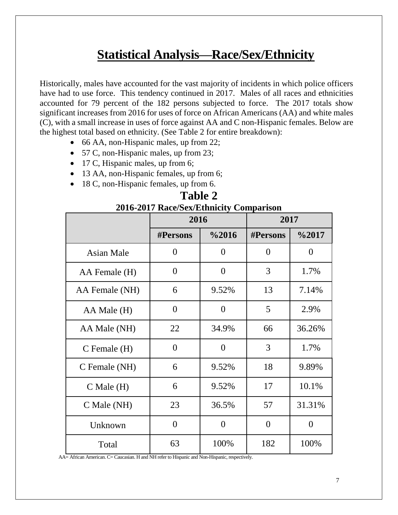### **Statistical Analysis—Race/Sex/Ethnicity**

Historically, males have accounted for the vast majority of incidents in which police officers have had to use force. This tendency continued in 2017. Males of all races and ethnicities accounted for 79 percent of the 182 persons subjected to force. The 2017 totals show significant increases from 2016 for uses of force on African Americans (AA) and white males (C), with a small increase in uses of force against AA and C non-Hispanic females. Below are the highest total based on ethnicity. (See Table 2 for entire breakdown):

- 66 AA, non-Hispanic males, up from 22;
- 57 C, non-Hispanic males, up from 23;
- 17 C, Hispanic males, up from 6;
- 13 AA, non-Hispanic females, up from 6;
- 18 C, non-Hispanic females, up from 6.

| 2016-2017 Race/Sex/Ethnicity Comparison |                 |                |                 |                   |
|-----------------------------------------|-----------------|----------------|-----------------|-------------------|
|                                         | 2016            |                | 2017            |                   |
|                                         | <b>#Persons</b> | $\%2016$       | <b>#Persons</b> | $\frac{62017}{ }$ |
| <b>Asian Male</b>                       | $\overline{0}$  | $\overline{0}$ | $\theta$        | $\theta$          |
| AA Female (H)                           | $\overline{0}$  | $\overline{0}$ | 3               | 1.7%              |
| AA Female (NH)                          | 6               | 9.52%          | 13              | 7.14%             |
| AA Male (H)                             | $\overline{0}$  | $\overline{0}$ | 5               | 2.9%              |
| AA Male (NH)                            | 22              | 34.9%          | 66              | 36.26%            |
| $C$ Female $(H)$                        | $\overline{0}$  | $\theta$       | 3               | 1.7%              |
| C Female (NH)                           | 6               | 9.52%          | 18              | 9.89%             |
| $C$ Male $(H)$                          | 6               | 9.52%          | 17              | 10.1%             |
| C Male (NH)                             | 23              | 36.5%          | 57              | 31.31%            |
| Unknown                                 | $\overline{0}$  | $\overline{0}$ | $\overline{0}$  | $\overline{0}$    |
| Total                                   | 63              | 100%           | 182             | 100%              |

# **Table 2**

AA= African American. C= Caucasian. H and NH refer to Hispanic and Non-Hispanic, respectively.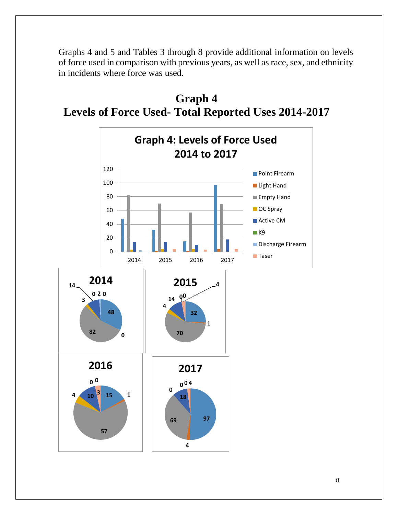Graphs 4 and 5 and Tables 3 through 8 provide additional information on levels of force used in comparison with previous years, as well as race, sex, and ethnicity in incidents where force was used.



**Graph 4 Levels of Force Used- Total Reported Uses 2014-2017**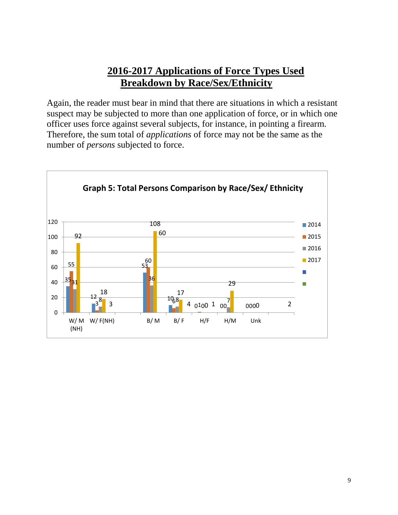#### **2016-2017 Applications of Force Types Used Breakdown by Race/Sex/Ethnicity**

Again, the reader must bear in mind that there are situations in which a resistant suspect may be subjected to more than one application of force, or in which one officer uses force against several subjects, for instance, in pointing a firearm. Therefore, the sum total of *applications* of force may not be the same as the number of *persons* subjected to force.

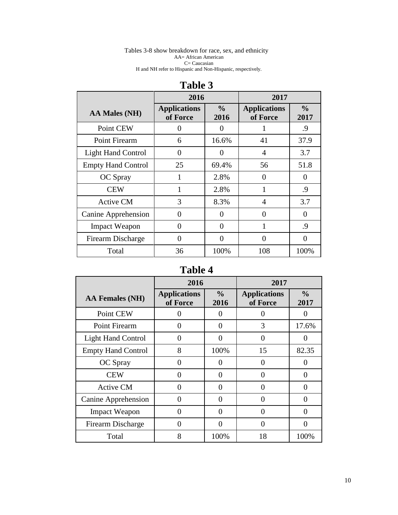#### Tables 3-8 show breakdown for race, sex, and ethnicity AA= African American C= Caucasian H and NH refer to Hispanic and Non-Hispanic, respectively.

|                           | 2016                            |                       | 2017                            |                       |
|---------------------------|---------------------------------|-----------------------|---------------------------------|-----------------------|
| AA Males (NH)             | <b>Applications</b><br>of Force | $\frac{0}{0}$<br>2016 | <b>Applications</b><br>of Force | $\frac{0}{0}$<br>2017 |
| Point CEW                 | 0                               | $_{0}$                |                                 | .9                    |
| Point Firearm             | 6                               | 16.6%                 | 41                              | 37.9                  |
| <b>Light Hand Control</b> | $\Omega$                        | 0                     | 4                               | 3.7                   |
| <b>Empty Hand Control</b> | 25                              | 69.4%                 | 56                              | 51.8                  |
| OC Spray                  | 1                               | 2.8%                  | 0                               | $\Omega$              |
| <b>CEW</b>                | 1                               | 2.8%                  | 1                               | .9                    |
| <b>Active CM</b>          | 3                               | 8.3%                  | 4                               | 3.7                   |
| Canine Apprehension       | 0                               | 0                     | 0                               | $\Omega$              |
| <b>Impact Weapon</b>      | $\Omega$                        | $\Omega$              | 1                               | .9                    |
| Firearm Discharge         | $\Omega$                        | $\theta$              | 0                               | 0                     |
| Total                     | 36                              | 100%                  | 108                             | 100%                  |

#### **Table 3**

#### **Table 4**

|                           | 2016                            |                       | 2017                            |                       |
|---------------------------|---------------------------------|-----------------------|---------------------------------|-----------------------|
| <b>AA Females (NH)</b>    | <b>Applications</b><br>of Force | $\frac{6}{6}$<br>2016 | <b>Applications</b><br>of Force | $\frac{0}{0}$<br>2017 |
| Point CEW                 | 0                               |                       | 0                               |                       |
| <b>Point Firearm</b>      | 0                               | 0                     | 3                               | 17.6%                 |
| <b>Light Hand Control</b> | $\mathbf{\Omega}$               | $\mathbf{\Omega}$     | 0                               | 0                     |
| <b>Empty Hand Control</b> | 8                               | 100%                  | 15                              | 82.35                 |
| OC Spray                  | 0                               | 0                     | $\Omega$                        |                       |
| <b>CEW</b>                | 0                               | 0                     | 0                               | 0                     |
| <b>Active CM</b>          | ∩                               | 0                     |                                 | Ω                     |
| Canine Apprehension       | 0                               | ∩                     | ∩                               |                       |
| <b>Impact Weapon</b>      | 0                               | 0                     | 0                               | 0                     |
| Firearm Discharge         | $\mathbf{\Omega}$               | $\mathbf{\Omega}$     | 0                               | 0                     |
| Total                     | 8                               | 100%                  | 18                              | 100%                  |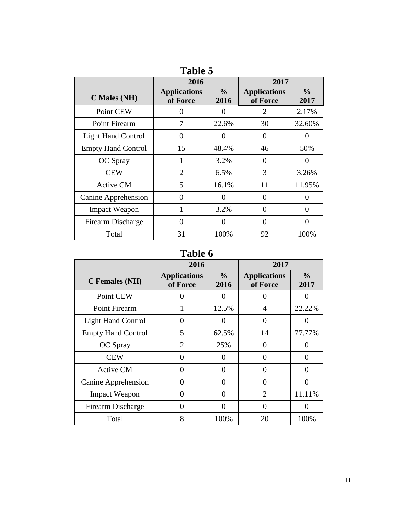| ravic J                   |                                 |                       |                                 |                       |
|---------------------------|---------------------------------|-----------------------|---------------------------------|-----------------------|
|                           | 2016                            |                       | 2017                            |                       |
| C Males (NH)              | <b>Applications</b><br>of Force | $\frac{0}{0}$<br>2016 | <b>Applications</b><br>of Force | $\frac{0}{0}$<br>2017 |
| Point CEW                 | 0                               | $\theta$              | 2                               | 2.17%                 |
| Point Firearm             | 7                               | 22.6%                 | 30                              | 32.60%                |
| <b>Light Hand Control</b> | $\overline{0}$                  | $\Omega$              | 0                               | 0                     |
| <b>Empty Hand Control</b> | 15                              | 48.4%                 | 46                              | 50%                   |
| OC Spray                  | 1                               | 3.2%                  | $\Omega$                        | $\theta$              |
| <b>CEW</b>                | $\overline{2}$                  | 6.5%                  | 3                               | 3.26%                 |
| <b>Active CM</b>          | 5                               | 16.1%                 | 11                              | 11.95%                |
| Canine Apprehension       | 0                               | $\Omega$              | $\Omega$                        | 0                     |
| <b>Impact Weapon</b>      |                                 | 3.2%                  | 0                               | 0                     |
| Firearm Discharge         | $\theta$                        | $\Omega$              | 0                               | 0                     |
| Total                     | 31                              | 100%                  | 92                              | 100%                  |

**Table 5**

#### **Table 6**

|                           | 2016                            |                       | 2017                            |                       |
|---------------------------|---------------------------------|-----------------------|---------------------------------|-----------------------|
| <b>C</b> Females (NH)     | <b>Applications</b><br>of Force | $\frac{6}{9}$<br>2016 | <b>Applications</b><br>of Force | $\frac{0}{0}$<br>2017 |
| Point CEW                 | 0                               | $\mathbf{\Omega}$     | $\mathbf{\Omega}$               |                       |
| Point Firearm             | 1                               | 12.5%                 | 4                               | 22.22%                |
| <b>Light Hand Control</b> | 0                               | $\theta$              | 0                               | 0                     |
| <b>Empty Hand Control</b> | 5                               | 62.5%                 | 14                              | 77.77%                |
| OC Spray                  | $\overline{2}$                  | 25%                   | 0                               |                       |
| <b>CEW</b>                | $\theta$                        | 0                     | 0                               | 0                     |
| <b>Active CM</b>          | 0                               | 0                     | 0                               | 0                     |
| Canine Apprehension       | 0                               | 0                     | 0                               | 0                     |
| <b>Impact Weapon</b>      | $\Omega$                        | 0                     | $\mathcal{D}_{\mathcal{L}}$     | 11.11%                |
| Firearm Discharge         | 0                               | 0                     | 0                               | 0                     |
| Total                     | 8                               | 100%                  | 20                              | 100%                  |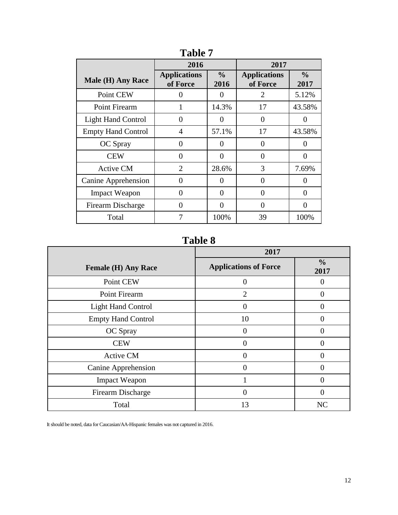|                           | 2016                            |                       | 2017                            |                       |
|---------------------------|---------------------------------|-----------------------|---------------------------------|-----------------------|
| <b>Male (H) Any Race</b>  | <b>Applications</b><br>of Force | $\frac{0}{0}$<br>2016 | <b>Applications</b><br>of Force | $\frac{0}{0}$<br>2017 |
| Point CEW                 | 0                               | 0                     | $\overline{2}$                  | 5.12%                 |
| Point Firearm             |                                 | 14.3%                 | 17                              | 43.58%                |
| <b>Light Hand Control</b> | 0                               | 0                     | $\Omega$                        | 0                     |
| <b>Empty Hand Control</b> | 4                               | 57.1%                 | 17                              | 43.58%                |
| OC Spray                  | 0                               | 0                     | 0                               |                       |
| <b>CEW</b>                | 0                               | 0                     | $\Omega$                        | 0                     |
| <b>Active CM</b>          | $\overline{2}$                  | 28.6%                 | 3                               | 7.69%                 |
| Canine Apprehension       | 0                               | 0                     | 0                               | 0                     |
| <b>Impact Weapon</b>      | 0                               | $\theta$              | $\Omega$                        | 0                     |
| Firearm Discharge         | 0                               | 0                     | $\Omega$                        | 0                     |
| Total                     | 7                               | 100%                  | 39                              | 100%                  |

**Table 7**

**Table 8**

|                            | 2017                         |                       |  |
|----------------------------|------------------------------|-----------------------|--|
| <b>Female (H) Any Race</b> | <b>Applications of Force</b> | $\frac{0}{0}$<br>2017 |  |
| Point CEW                  | 0                            |                       |  |
| Point Firearm              | $\overline{2}$               |                       |  |
| <b>Light Hand Control</b>  | 0                            |                       |  |
| <b>Empty Hand Control</b>  | 10                           |                       |  |
| OC Spray                   | $\theta$                     |                       |  |
| <b>CEW</b>                 | 0                            |                       |  |
| <b>Active CM</b>           | $\Omega$                     |                       |  |
| Canine Apprehension        | 0                            |                       |  |
| <b>Impact Weapon</b>       |                              |                       |  |
| Firearm Discharge          | 0                            |                       |  |
| Total                      | 13                           | NC                    |  |

It should be noted, data for Caucasian/AA-Hispanic females was not captured in 2016.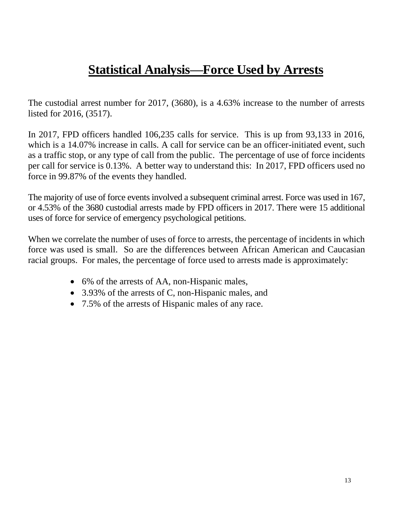### **Statistical Analysis—Force Used by Arrests**

The custodial arrest number for 2017, (3680), is a 4.63% increase to the number of arrests listed for 2016, (3517).

In 2017, FPD officers handled 106,235 calls for service. This is up from 93,133 in 2016, which is a 14.07% increase in calls. A call for service can be an officer-initiated event, such as a traffic stop, or any type of call from the public. The percentage of use of force incidents per call for service is 0.13%. A better way to understand this: In 2017, FPD officers used no force in 99.87% of the events they handled.

The majority of use of force events involved a subsequent criminal arrest. Force was used in 167, or 4.53% of the 3680 custodial arrests made by FPD officers in 2017. There were 15 additional uses of force for service of emergency psychological petitions.

When we correlate the number of uses of force to arrests, the percentage of incidents in which force was used is small. So are the differences between African American and Caucasian racial groups. For males, the percentage of force used to arrests made is approximately:

- 6% of the arrests of AA, non-Hispanic males,
- 3.93% of the arrests of C, non-Hispanic males, and
- 7.5% of the arrests of Hispanic males of any race.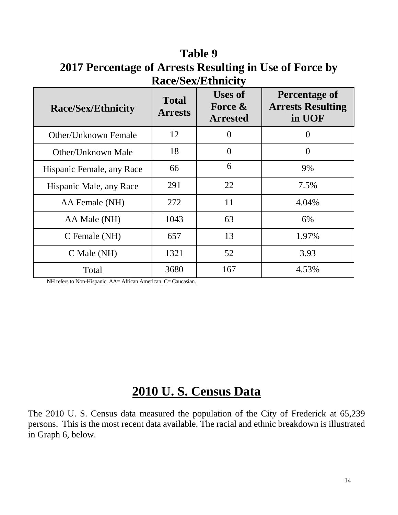**Table 9 2017 Percentage of Arrests Resulting in Use of Force by Race/Sex/Ethnicity**

| <b>Race/Sex/Ethnicity</b> | <b>Total</b><br><b>Arrests</b> | <b>Uses of</b><br>Force $\&$<br><b>Arrested</b> | <b>Percentage of</b><br><b>Arrests Resulting</b><br>in UOF |
|---------------------------|--------------------------------|-------------------------------------------------|------------------------------------------------------------|
| Other/Unknown Female      | 12                             | 0                                               | 0                                                          |
| Other/Unknown Male        | 18                             | $\theta$                                        | $\overline{0}$                                             |
| Hispanic Female, any Race | 66                             | 6                                               | 9%                                                         |
| Hispanic Male, any Race   | 291                            | 22                                              | 7.5%                                                       |
| AA Female (NH)            | 272                            | 11                                              | 4.04%                                                      |
| AA Male (NH)              | 1043                           | 63                                              | 6%                                                         |
| C Female (NH)             | 657                            | 13                                              | 1.97%                                                      |
| C Male (NH)               | 1321                           | 52                                              | 3.93                                                       |
| Total                     | 3680                           | 167                                             | 4.53%                                                      |

NH refers to Non-Hispanic. AA= African American. C= Caucasian.

### **2010 U. S. Census Data**

The 2010 U. S. Census data measured the population of the City of Frederick at 65,239 persons. This is the most recent data available. The racial and ethnic breakdown is illustrated in Graph 6, below.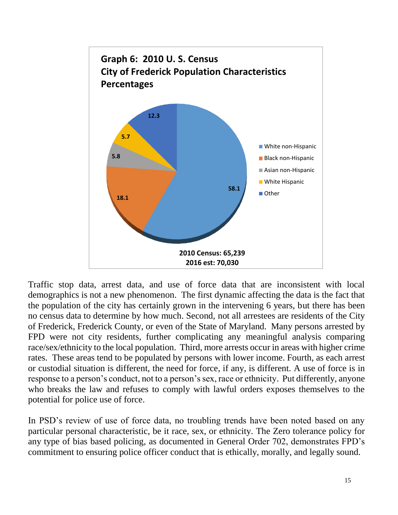

Traffic stop data, arrest data, and use of force data that are inconsistent with local demographics is not a new phenomenon. The first dynamic affecting the data is the fact that the population of the city has certainly grown in the intervening 6 years, but there has been no census data to determine by how much. Second, not all arrestees are residents of the City of Frederick, Frederick County, or even of the State of Maryland. Many persons arrested by FPD were not city residents, further complicating any meaningful analysis comparing race/sex/ethnicity to the local population. Third, more arrests occur in areas with higher crime rates. These areas tend to be populated by persons with lower income. Fourth, as each arrest or custodial situation is different, the need for force, if any, is different. A use of force is in response to a person's conduct, not to a person's sex, race or ethnicity. Put differently, anyone who breaks the law and refuses to comply with lawful orders exposes themselves to the potential for police use of force.

In PSD's review of use of force data, no troubling trends have been noted based on any particular personal characteristic, be it race, sex, or ethnicity. The Zero tolerance policy for any type of bias based policing, as documented in General Order 702, demonstrates FPD's commitment to ensuring police officer conduct that is ethically, morally, and legally sound.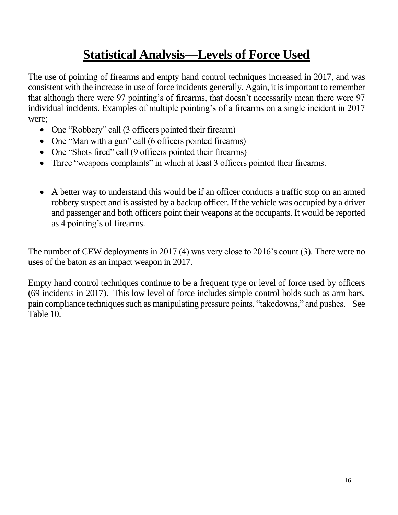### **Statistical Analysis—Levels of Force Used**

The use of pointing of firearms and empty hand control techniques increased in 2017, and was consistent with the increase in use of force incidents generally. Again, it is important to remember that although there were 97 pointing's of firearms, that doesn't necessarily mean there were 97 individual incidents. Examples of multiple pointing's of a firearms on a single incident in 2017 were;

- One "Robbery" call (3 officers pointed their firearm)
- One "Man with a gun" call (6 officers pointed firearms)
- One "Shots fired" call (9 officers pointed their firearms)
- Three "weapons complaints" in which at least 3 officers pointed their firearms.
- A better way to understand this would be if an officer conducts a traffic stop on an armed robbery suspect and is assisted by a backup officer. If the vehicle was occupied by a driver and passenger and both officers point their weapons at the occupants. It would be reported as 4 pointing's of firearms.

The number of CEW deployments in 2017 (4) was very close to 2016's count (3). There were no uses of the baton as an impact weapon in 2017.

Empty hand control techniques continue to be a frequent type or level of force used by officers (69 incidents in 2017). This low level of force includes simple control holds such as arm bars, pain compliance techniques such as manipulating pressure points, "takedowns," and pushes. See Table 10.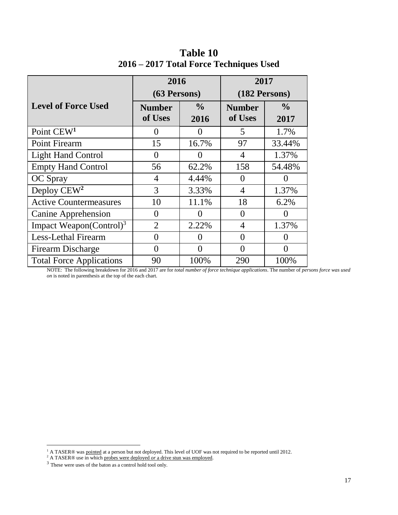|                                     | 2016                     |                       |                          |                       | 2017 |  |
|-------------------------------------|--------------------------|-----------------------|--------------------------|-----------------------|------|--|
|                                     | $(63$ Persons)           |                       | (182 Persons)            |                       |      |  |
| <b>Level of Force Used</b>          | <b>Number</b><br>of Uses | $\frac{0}{0}$<br>2016 | <b>Number</b><br>of Uses | $\frac{0}{0}$<br>2017 |      |  |
| Point CEW <sup>1</sup>              | $\theta$                 | $\Omega$              | 5                        | 1.7%                  |      |  |
| Point Firearm                       | 15                       | 16.7%                 | 97                       | 33.44%                |      |  |
| <b>Light Hand Control</b>           | $\theta$                 | 0                     | 4                        | 1.37%                 |      |  |
| <b>Empty Hand Control</b>           | 56                       | 62.2%                 | 158                      | 54.48%                |      |  |
| <b>OC</b> Spray                     | $\overline{4}$           | 4.44%                 | $\theta$                 | 0                     |      |  |
| Deploy $CEW2$                       | 3                        | 3.33%                 | 4                        | 1.37%                 |      |  |
| <b>Active Countermeasures</b>       | 10                       | 11.1%                 | 18                       | 6.2%                  |      |  |
| <b>Canine Apprehension</b>          | $\Omega$                 | $\mathbf{\Omega}$     | $\theta$                 | ( )                   |      |  |
| Impact Weapon(Control) <sup>3</sup> | $\overline{2}$           | 2.22%                 | 4                        | 1.37%                 |      |  |
| <b>Less-Lethal Firearm</b>          | $\theta$                 | $\mathbf{0}$          | $\Omega$                 | 0                     |      |  |
| <b>Firearm Discharge</b>            | $\Omega$                 | 0                     | $\Omega$                 | 0                     |      |  |
| <b>Total Force Applications</b>     | 90                       | 100%                  | 290                      | 100%                  |      |  |

**Table 10 2016 – 2017 Total Force Techniques Used**

NOTE: The following breakdown for 2016 and 2017 are for *total number of force technique applications*. The number of *persons force was used on* is noted in parenthesis at the top of the each chart.

 $\overline{a}$ 

<sup>&</sup>lt;sup>1</sup> A TASER® was pointed at a person but not deployed. This level of UOF was not required to be reported until 2012.

<sup>2</sup> A TASER® use in which probes were deployed *or* a drive stun was employed.

<sup>3</sup> These were uses of the baton as a control hold tool only.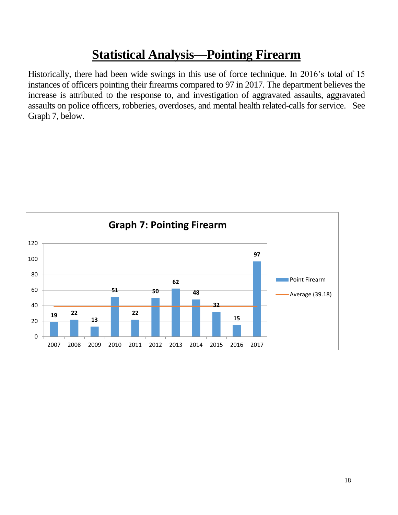### **Statistical Analysis—Pointing Firearm**

Historically, there had been wide swings in this use of force technique. In 2016's total of 15 instances of officers pointing their firearms compared to 97 in 2017. The department believes the increase is attributed to the response to, and investigation of aggravated assaults, aggravated assaults on police officers, robberies, overdoses, and mental health related-calls for service. See Graph 7, below.

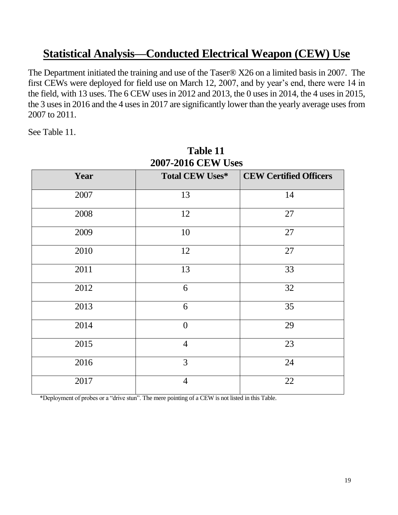### **Statistical Analysis—Conducted Electrical Weapon (CEW) Use**

The Department initiated the training and use of the Taser® X26 on a limited basis in 2007. The first CEWs were deployed for field use on March 12, 2007, and by year's end, there were 14 in the field, with 13 uses. The 6 CEW uses in 2012 and 2013, the 0 uses in 2014, the 4 uses in 2015, the 3 uses in 2016 and the 4 uses in 2017 are significantly lower than the yearly average uses from 2007 to 2011.

See Table 11.

| <b><i>2007-2016</i></b> CEW USES |                        |                               |  |  |
|----------------------------------|------------------------|-------------------------------|--|--|
| Year                             | <b>Total CEW Uses*</b> | <b>CEW Certified Officers</b> |  |  |
| 2007                             | 13                     | 14                            |  |  |
| 2008                             | 12                     | 27                            |  |  |
| 2009                             | 10                     | 27                            |  |  |
| 2010                             | 12                     | 27                            |  |  |
| 2011                             | 13                     | 33                            |  |  |
| 2012                             | 6                      | 32                            |  |  |
| 2013                             | 6                      | 35                            |  |  |
| 2014                             | $\overline{0}$         | 29                            |  |  |
| 2015                             | $\overline{4}$         | 23                            |  |  |
| 2016                             | 3                      | 24                            |  |  |
| 2017                             | $\overline{4}$         | 22                            |  |  |

**Table 11 2007-2016 CEW US** 

\*Deployment of probes or a "drive stun". The mere pointing of a CEW is not listed in this Table.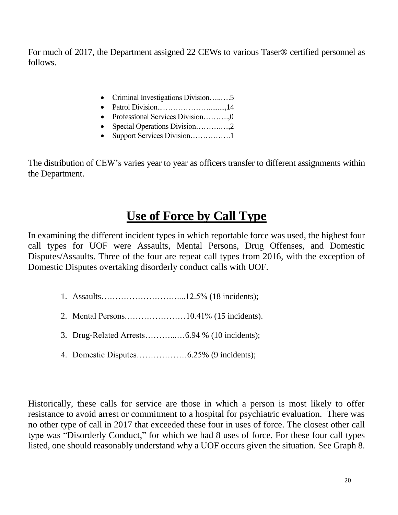For much of 2017, the Department assigned 22 CEWs to various Taser® certified personnel as follows.

- Criminal Investigations Division….......5
- Patrol Division...……………….........,14
- Professional Services Division………...0
- Special Operations Division……….…,2
- Support Services Division…………….1

The distribution of CEW's varies year to year as officers transfer to different assignments within the Department.

### **Use of Force by Call Type**

In examining the different incident types in which reportable force was used, the highest four call types for UOF were Assaults, Mental Persons, Drug Offenses, and Domestic Disputes/Assaults. Three of the four are repeat call types from 2016, with the exception of Domestic Disputes overtaking disorderly conduct calls with UOF.

- 1. Assaults………………………....12.5% (18 incidents);
- 2. Mental Persons.…………………10.41% (15 incidents).
- 3. Drug-Related Arrests………...…6.94 % (10 incidents);
- 4. Domestic Disputes………………6.25% (9 incidents);

Historically, these calls for service are those in which a person is most likely to offer resistance to avoid arrest or commitment to a hospital for psychiatric evaluation. There was no other type of call in 2017 that exceeded these four in uses of force. The closest other call type was "Disorderly Conduct," for which we had 8 uses of force. For these four call types listed, one should reasonably understand why a UOF occurs given the situation. See Graph 8.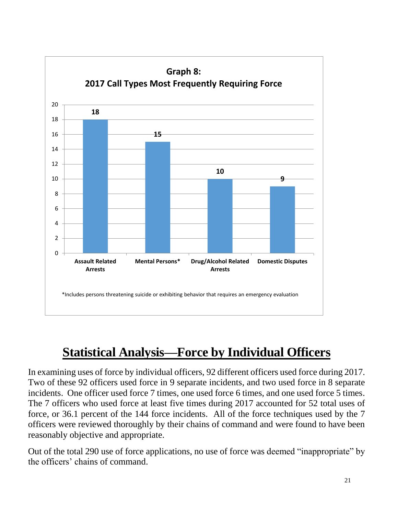

### **Statistical Analysis—Force by Individual Officers**

In examining uses of force by individual officers, 92 different officers used force during 2017. Two of these 92 officers used force in 9 separate incidents, and two used force in 8 separate incidents. One officer used force 7 times, one used force 6 times, and one used force 5 times. The 7 officers who used force at least five times during 2017 accounted for 52 total uses of force, or 36.1 percent of the 144 force incidents. All of the force techniques used by the 7 officers were reviewed thoroughly by their chains of command and were found to have been reasonably objective and appropriate.

Out of the total 290 use of force applications, no use of force was deemed "inappropriate" by the officers' chains of command.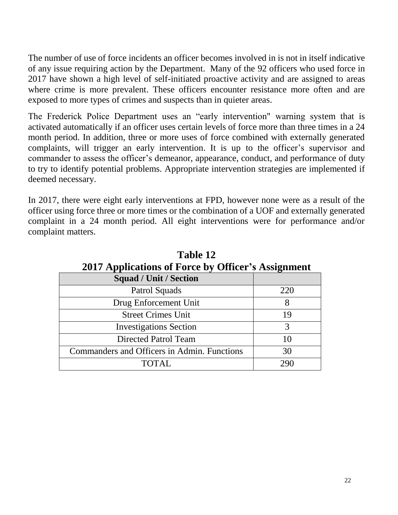The number of use of force incidents an officer becomes involved in is not in itself indicative of any issue requiring action by the Department. Many of the 92 officers who used force in 2017 have shown a high level of self-initiated proactive activity and are assigned to areas where crime is more prevalent. These officers encounter resistance more often and are exposed to more types of crimes and suspects than in quieter areas.

The Frederick Police Department uses an "early intervention" warning system that is activated automatically if an officer uses certain levels of force more than three times in a 24 month period. In addition, three or more uses of force combined with externally generated complaints, will trigger an early intervention. It is up to the officer's supervisor and commander to assess the officer's demeanor, appearance, conduct, and performance of duty to try to identify potential problems. Appropriate intervention strategies are implemented if deemed necessary.

In 2017, there were eight early interventions at FPD, however none were as a result of the officer using force three or more times or the combination of a UOF and externally generated complaint in a 24 month period. All eight interventions were for performance and/or complaint matters.

| 2017 Applications of Force by Officer's Assignment |     |  |  |
|----------------------------------------------------|-----|--|--|
| <b>Squad / Unit / Section</b>                      |     |  |  |
| Patrol Squads                                      | 220 |  |  |
| Drug Enforcement Unit                              | 8   |  |  |
| <b>Street Crimes Unit</b>                          | 19  |  |  |
| <b>Investigations Section</b>                      | 3   |  |  |
| Directed Patrol Team                               | 10  |  |  |
| Commanders and Officers in Admin. Functions        | 30  |  |  |
| TOTAL.                                             | 290 |  |  |

**Table 12 2017 Applications of Force by Officer's Assignment**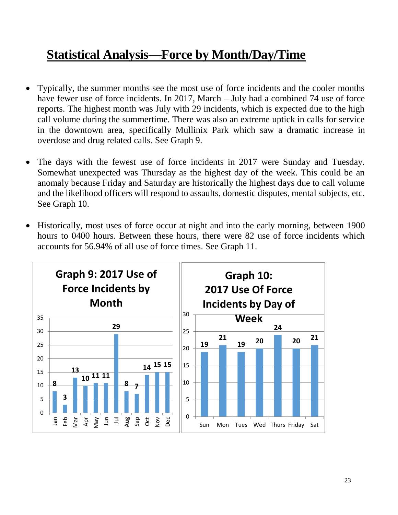### **Statistical Analysis—Force by Month/Day/Time**

- Typically, the summer months see the most use of force incidents and the cooler months have fewer use of force incidents. In 2017, March – July had a combined 74 use of force reports. The highest month was July with 29 incidents, which is expected due to the high call volume during the summertime. There was also an extreme uptick in calls for service in the downtown area, specifically Mullinix Park which saw a dramatic increase in overdose and drug related calls. See Graph 9.
- The days with the fewest use of force incidents in 2017 were Sunday and Tuesday. Somewhat unexpected was Thursday as the highest day of the week. This could be an anomaly because Friday and Saturday are historically the highest days due to call volume and the likelihood officers will respond to assaults, domestic disputes, mental subjects, etc. See Graph 10.
- Historically, most uses of force occur at night and into the early morning, between 1900 hours to 0400 hours. Between these hours, there were 82 use of force incidents which accounts for 56.94% of all use of force times. See Graph 11.

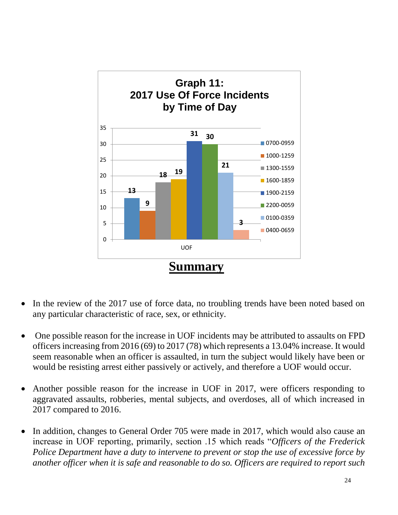

- In the review of the 2017 use of force data, no troubling trends have been noted based on any particular characteristic of race, sex, or ethnicity.
- One possible reason for the increase in UOF incidents may be attributed to assaults on FPD officers increasing from 2016 (69) to 2017 (78) which represents a 13.04% increase. It would seem reasonable when an officer is assaulted, in turn the subject would likely have been or would be resisting arrest either passively or actively, and therefore a UOF would occur.
- Another possible reason for the increase in UOF in 2017, were officers responding to aggravated assaults, robberies, mental subjects, and overdoses, all of which increased in 2017 compared to 2016.
- In addition, changes to General Order 705 were made in 2017, which would also cause an increase in UOF reporting, primarily, section .15 which reads "*Officers of the Frederick Police Department have a duty to intervene to prevent or stop the use of excessive force by another officer when it is safe and reasonable to do so. Officers are required to report such*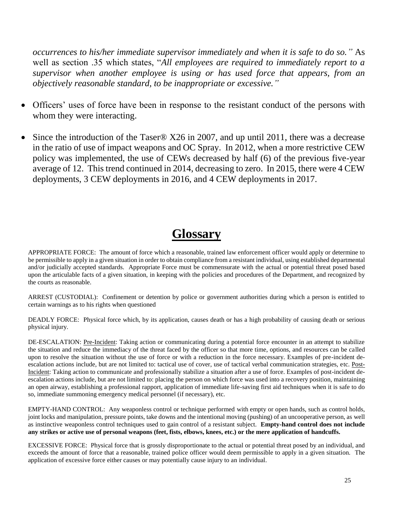*occurrences to his/her immediate supervisor immediately and when it is safe to do so."* As well as section .35 which states, "*All employees are required to immediately report to a supervisor when another employee is using or has used force that appears, from an objectively reasonable standard, to be inappropriate or excessive."* 

- Officers' uses of force have been in response to the resistant conduct of the persons with whom they were interacting.
- Since the introduction of the Taser® X26 in 2007, and up until 2011, there was a decrease in the ratio of use of impact weapons and OC Spray. In 2012, when a more restrictive CEW policy was implemented, the use of CEWs decreased by half (6) of the previous five-year average of 12. This trend continued in 2014, decreasing to zero. In 2015, there were 4 CEW deployments, 3 CEW deployments in 2016, and 4 CEW deployments in 2017.

### **Glossary**

APPROPRIATE FORCE: The amount of force which a reasonable, trained law enforcement officer would apply or determine to be permissible to apply in a given situation in order to obtain compliance from a resistant individual, using established departmental and/or judicially accepted standards. Appropriate Force must be commensurate with the actual or potential threat posed based upon the articulable facts of a given situation, in keeping with the policies and procedures of the Department, and recognized by the courts as reasonable.

ARREST (CUSTODIAL): Confinement or detention by police or government authorities during which a person is entitled to certain warnings as to his rights when questioned

DEADLY FORCE: Physical force which, by its application, causes death or has a high probability of causing death or serious physical injury.

DE-ESCALATION: Pre-Incident: Taking action or communicating during a potential force encounter in an attempt to stabilize the situation and reduce the immediacy of the threat faced by the officer so that more time, options, and resources can be called upon to resolve the situation without the use of force or with a reduction in the force necessary. Examples of pre-incident deescalation actions include, but are not limited to: tactical use of cover, use of tactical verbal communication strategies, etc. Post-Incident: Taking action to communicate and professionally stabilize a situation after a use of force. Examples of post-incident deescalation actions include, but are not limited to: placing the person on which force was used into a recovery position, maintaining an open airway, establishing a professional rapport, application of immediate life-saving first aid techniques when it is safe to do so, immediate summoning emergency medical personnel (if necessary), etc.

EMPTY-HAND CONTROL: Any weaponless control or technique performed with empty or open hands, such as control holds, joint locks and manipulation, pressure points, take downs and the intentional moving (pushing) of an uncooperative person, as well as instinctive weaponless control techniques used to gain control of a resistant subject. **Empty-hand control does not include any strikes or active use of personal weapons (feet, fists, elbows, knees, etc.) or the mere application of handcuffs.**

EXCESSIVE FORCE: Physical force that is grossly disproportionate to the actual or potential threat posed by an individual, and exceeds the amount of force that a reasonable, trained police officer would deem permissible to apply in a given situation. The application of excessive force either causes or may potentially cause injury to an individual.